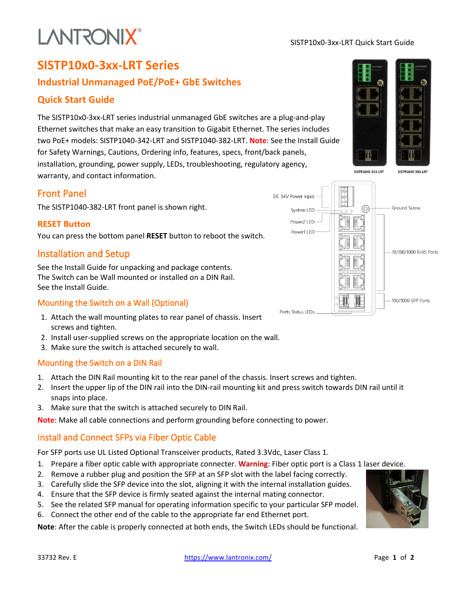# **LANTRONIX®**

#### SISTP10x0-3xx-LRT Quick Start Guide

# **SISTP10x0-3xx-LRT Series**

## **Industrial Unmanaged PoE/PoE+ GbE Switches**

### **Quick Start Guide**

The SISTP10x0-3xx-LRT series industrial unmanaged GbE switches are a plug-and-play Ethernet switches that make an easy transition to Gigabit Ethernet. The series includes two PoE+ models: SISTP1040-342-LRT and SISTP1040-382-LRT. **Note**: See the Install Guide for Safety Warnings, Cautions, Ordering info, features, specs, front/back panels, installation, grounding, power supply, LEDs, troubleshooting, regulatory agency, warranty, and contact information.

#### Front Panel

The SISTP1040-382-LRT front panel is shown right.

#### **RESET Button**

You can press the bottom panel **RESET** button to reboot the switch.

### Installation and Setup

See the Install Guide for unpacking and package contents. The Switch can be Wall mounted or installed on a DIN Rail. See the Install Guide.

#### Mounting the Switch on a Wall (Optional)

- 1. Attach the wall mounting plates to rear panel of chassis. Insert screws and tighten.
- 2. Install user-supplied screws on the appropriate location on the wall.
- 3. Make sure the switch is attached securely to wall.

#### Mounting the Switch on a DIN Rail

- 1. Attach the DIN Rail mounting kit to the rear panel of the chassis. Insert screws and tighten.
- 2. Insert the upper lip of the DIN rail into the DIN-rail mounting kit and press switch towards DIN rail until it snaps into place.
- 3. Make sure that the switch is attached securely to DIN Rail.

**Note**: Make all cable connections and perform grounding before connecting to power.

#### Install and Connect SFPs via Fiber Optic Cable

For SFP ports use UL Listed Optional Transceiver products, Rated 3.3Vdc, Laser Class 1.

- 1. Prepare a fiber optic cable with appropriate connecter. **Warning**: Fiber optic port is a Class 1 laser device.
- 2. Remove a rubber plug and position the SFP at an SFP slot with the label facing correctly.
- 3. Carefully slide the SFP device into the slot, aligning it with the internal installation guides.
- 4. Ensure that the SFP device is firmly seated against the internal mating connector.
- 5. See the related SFP manual for operating information specific to your particular SFP model.
- 6. Connect the other end of the cable to the appropriate far end Ethernet port.

**Note**: After the cable is properly connected at both ends, the Switch LEDs should be functional.